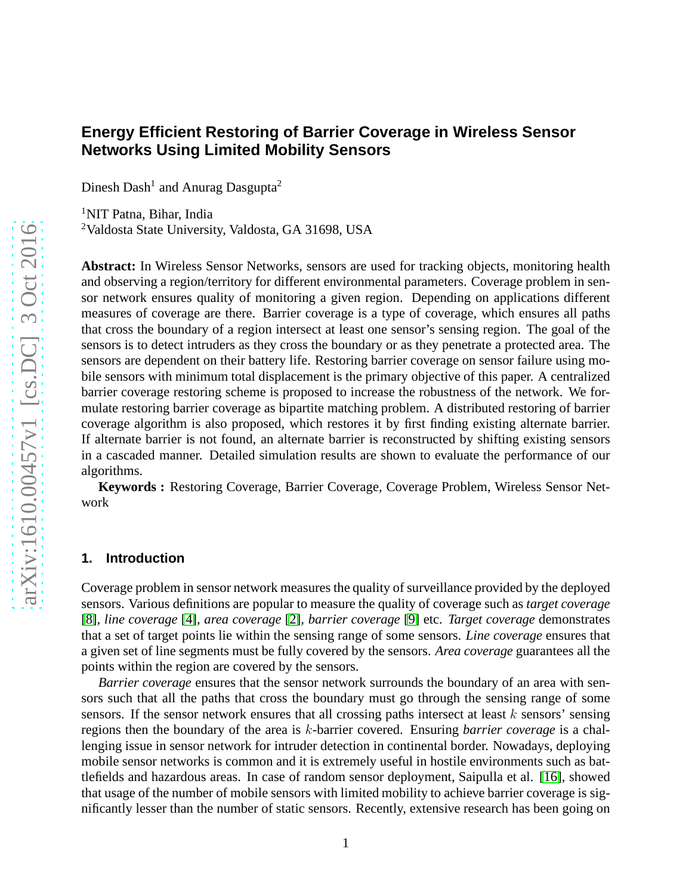# **Energy Efficient Restoring of Barrier Coverage in Wireless Sensor Networks Using Limited Mobility Sensors**

Dinesh Dash<sup>1</sup> and Anurag Dasgupta<sup>2</sup>

<sup>1</sup>NIT Patna, Bihar, India <sup>2</sup>Valdosta State University, Valdosta, GA 31698, USA

**Abstract:** In Wireless Sensor Networks, sensors are used for tracking objects, monitoring health and observing a region/territory for different environmental parameters. Coverage problem in sensor network ensures quality of monitoring a given region. Depending on applications different measures of coverage are there. Barrier coverage is a type of coverage, which ensures all paths that cross the boundary of a region intersect at least one sensor's sensing region. The goal of the sensors is to detect intruders as they cross the boundary or as they penetrate a protected area. The sensors are dependent on their battery life. Restoring barrier coverage on sensor failure using mobile sensors with minimum total displacement is the primary objective of this paper. A centralized barrier coverage restoring scheme is proposed to increase the robustness of the network. We formulate restoring barrier coverage as bipartite matching problem. A distributed restoring of barrier coverage algorithm is also proposed, which restores it by first finding existing alternate barrier. If alternate barrier is not found, an alternate barrier is reconstructed by shifting existing sensors in a cascaded manner. Detailed simulation results are shown to evaluate the performance of our algorithms.

**Keywords :** Restoring Coverage, Barrier Coverage, Coverage Problem, Wireless Sensor Network

#### **1. Introduction**

Coverage problem in sensor network measures the quality of surveillance provided by the deployed sensors. Various definitions are popular to measure the quality of coverage such as *target coverage* [\[8\]](#page-18-0), *line coverage* [\[4\]](#page-18-1), *area coverage* [\[2\]](#page-18-2), *barrier coverage* [\[9\]](#page-18-3) etc. *Target coverage* demonstrates that a set of target points lie within the sensing range of some sensors. *Line coverage* ensures that a given set of line segments must be fully covered by the sensors. *Area coverage* guarantees all the points within the region are covered by the sensors.

*Barrier coverage* ensures that the sensor network surrounds the boundary of an area with sensors such that all the paths that cross the boundary must go through the sensing range of some sensors. If the sensor network ensures that all crossing paths intersect at least  $k$  sensors' sensing regions then the boundary of the area is k-barrier covered. Ensuring *barrier coverage* is a challenging issue in sensor network for intruder detection in continental border. Nowadays, deploying mobile sensor networks is common and it is extremely useful in hostile environments such as battlefields and hazardous areas. In case of random sensor deployment, Saipulla et al. [\[16\]](#page-19-0), showed that usage of the number of mobile sensors with limited mobility to achieve barrier coverage is significantly lesser than the number of static sensors. Recently, extensive research has been going on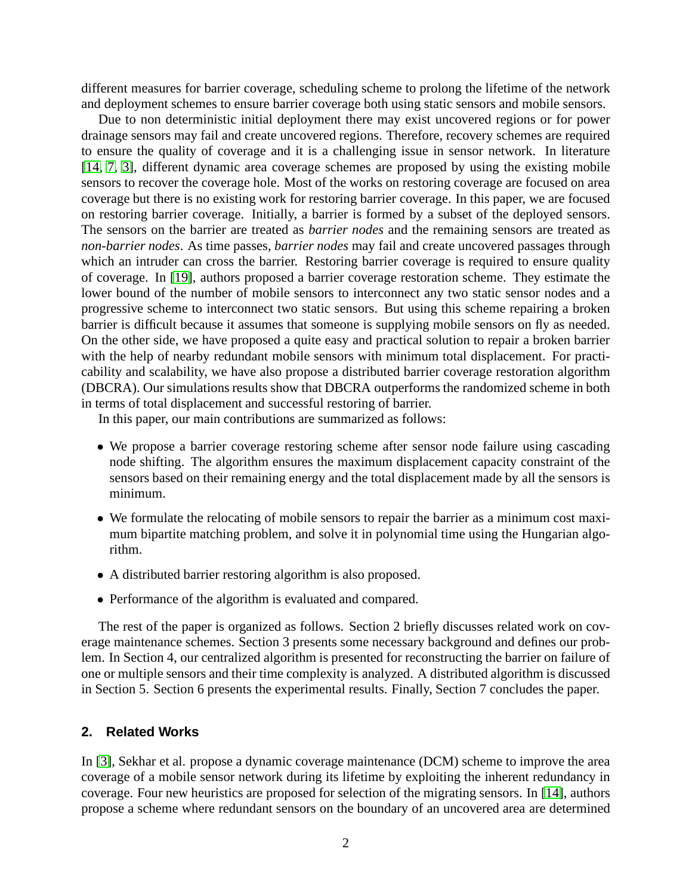different measures for barrier coverage, scheduling scheme to prolong the lifetime of the network and deployment schemes to ensure barrier coverage both using static sensors and mobile sensors.

Due to non deterministic initial deployment there may exist uncovered regions or for power drainage sensors may fail and create uncovered regions. Therefore, recovery schemes are required to ensure the quality of coverage and it is a challenging issue in sensor network. In literature [\[14,](#page-18-4) [7,](#page-18-5) [3\]](#page-18-6), different dynamic area coverage schemes are proposed by using the existing mobile sensors to recover the coverage hole. Most of the works on restoring coverage are focused on area coverage but there is no existing work for restoring barrier coverage. In this paper, we are focused on restoring barrier coverage. Initially, a barrier is formed by a subset of the deployed sensors. The sensors on the barrier are treated as *barrier nodes* and the remaining sensors are treated as *non-barrier nodes*. As time passes, *barrier nodes* may fail and create uncovered passages through which an intruder can cross the barrier. Restoring barrier coverage is required to ensure quality of coverage. In [\[19\]](#page-19-1), authors proposed a barrier coverage restoration scheme. They estimate the lower bound of the number of mobile sensors to interconnect any two static sensor nodes and a progressive scheme to interconnect two static sensors. But using this scheme repairing a broken barrier is difficult because it assumes that someone is supplying mobile sensors on fly as needed. On the other side, we have proposed a quite easy and practical solution to repair a broken barrier with the help of nearby redundant mobile sensors with minimum total displacement. For practicability and scalability, we have also propose a distributed barrier coverage restoration algorithm (DBCRA). Our simulations results show that DBCRA outperforms the randomized scheme in both in terms of total displacement and successful restoring of barrier.

In this paper, our main contributions are summarized as follows:

- We propose a barrier coverage restoring scheme after sensor node failure using cascading node shifting. The algorithm ensures the maximum displacement capacity constraint of the sensors based on their remaining energy and the total displacement made by all the sensors is minimum.
- We formulate the relocating of mobile sensors to repair the barrier as a minimum cost maximum bipartite matching problem, and solve it in polynomial time using the Hungarian algorithm.
- A distributed barrier restoring algorithm is also proposed.
- Performance of the algorithm is evaluated and compared.

The rest of the paper is organized as follows. Section 2 briefly discusses related work on coverage maintenance schemes. Section 3 presents some necessary background and defines our problem. In Section 4, our centralized algorithm is presented for reconstructing the barrier on failure of one or multiple sensors and their time complexity is analyzed. A distributed algorithm is discussed in Section 5. Section 6 presents the experimental results. Finally, Section 7 concludes the paper.

### **2. Related Works**

In [\[3\]](#page-18-6), Sekhar et al. propose a dynamic coverage maintenance (DCM) scheme to improve the area coverage of a mobile sensor network during its lifetime by exploiting the inherent redundancy in coverage. Four new heuristics are proposed for selection of the migrating sensors. In [\[14\]](#page-18-4), authors propose a scheme where redundant sensors on the boundary of an uncovered area are determined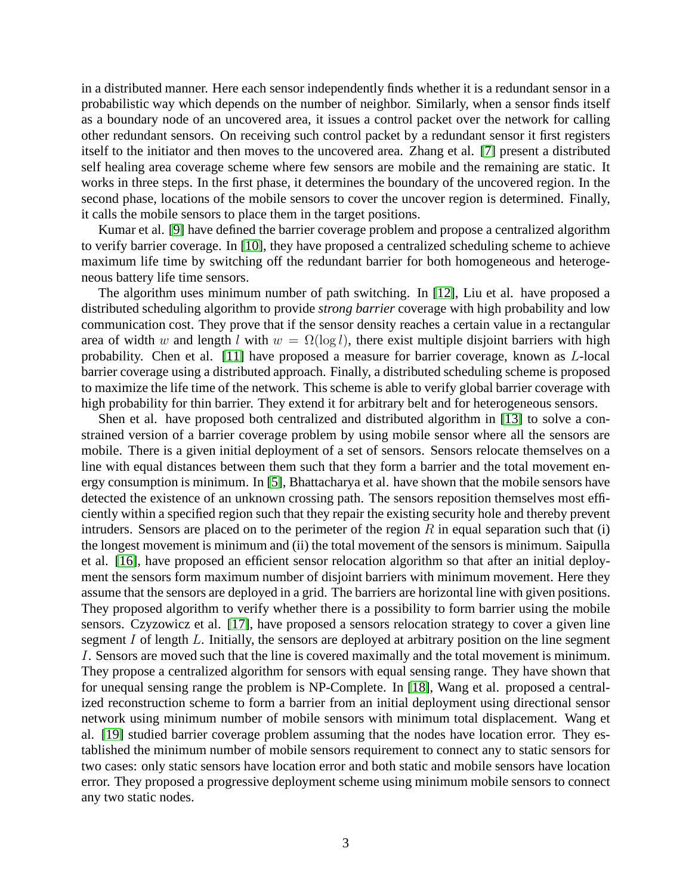in a distributed manner. Here each sensor independently finds whether it is a redundant sensor in a probabilistic way which depends on the number of neighbor. Similarly, when a sensor finds itself as a boundary node of an uncovered area, it issues a control packet over the network for calling other redundant sensors. On receiving such control packet by a redundant sensor it first registers itself to the initiator and then moves to the uncovered area. Zhang et al. [\[7\]](#page-18-5) present a distributed self healing area coverage scheme where few sensors are mobile and the remaining are static. It works in three steps. In the first phase, it determines the boundary of the uncovered region. In the second phase, locations of the mobile sensors to cover the uncover region is determined. Finally, it calls the mobile sensors to place them in the target positions.

Kumar et al. [\[9\]](#page-18-3) have defined the barrier coverage problem and propose a centralized algorithm to verify barrier coverage. In [\[10\]](#page-18-7), they have proposed a centralized scheduling scheme to achieve maximum life time by switching off the redundant barrier for both homogeneous and heterogeneous battery life time sensors.

The algorithm uses minimum number of path switching. In [\[12\]](#page-18-8), Liu et al. have proposed a distributed scheduling algorithm to provide *strong barrier* coverage with high probability and low communication cost. They prove that if the sensor density reaches a certain value in a rectangular area of width w and length l with  $w = \Omega(\log l)$ , there exist multiple disjoint barriers with high probability. Chen et al. [\[11\]](#page-18-9) have proposed a measure for barrier coverage, known as L-local barrier coverage using a distributed approach. Finally, a distributed scheduling scheme is proposed to maximize the life time of the network. This scheme is able to verify global barrier coverage with high probability for thin barrier. They extend it for arbitrary belt and for heterogeneous sensors.

Shen et al. have proposed both centralized and distributed algorithm in [\[13\]](#page-18-10) to solve a constrained version of a barrier coverage problem by using mobile sensor where all the sensors are mobile. There is a given initial deployment of a set of sensors. Sensors relocate themselves on a line with equal distances between them such that they form a barrier and the total movement energy consumption is minimum. In [\[5\]](#page-18-11), Bhattacharya et al. have shown that the mobile sensors have detected the existence of an unknown crossing path. The sensors reposition themselves most efficiently within a specified region such that they repair the existing security hole and thereby prevent intruders. Sensors are placed on to the perimeter of the region  $R$  in equal separation such that (i) the longest movement is minimum and (ii) the total movement of the sensors is minimum. Saipulla et al. [\[16\]](#page-19-0), have proposed an efficient sensor relocation algorithm so that after an initial deployment the sensors form maximum number of disjoint barriers with minimum movement. Here they assume that the sensors are deployed in a grid. The barriers are horizontal line with given positions. They proposed algorithm to verify whether there is a possibility to form barrier using the mobile sensors. Czyzowicz et al. [\[17\]](#page-19-2), have proposed a sensors relocation strategy to cover a given line segment I of length L. Initially, the sensors are deployed at arbitrary position on the line segment I. Sensors are moved such that the line is covered maximally and the total movement is minimum. They propose a centralized algorithm for sensors with equal sensing range. They have shown that for unequal sensing range the problem is NP-Complete. In [\[18\]](#page-19-3), Wang et al. proposed a centralized reconstruction scheme to form a barrier from an initial deployment using directional sensor network using minimum number of mobile sensors with minimum total displacement. Wang et al. [\[19\]](#page-19-1) studied barrier coverage problem assuming that the nodes have location error. They established the minimum number of mobile sensors requirement to connect any to static sensors for two cases: only static sensors have location error and both static and mobile sensors have location error. They proposed a progressive deployment scheme using minimum mobile sensors to connect any two static nodes.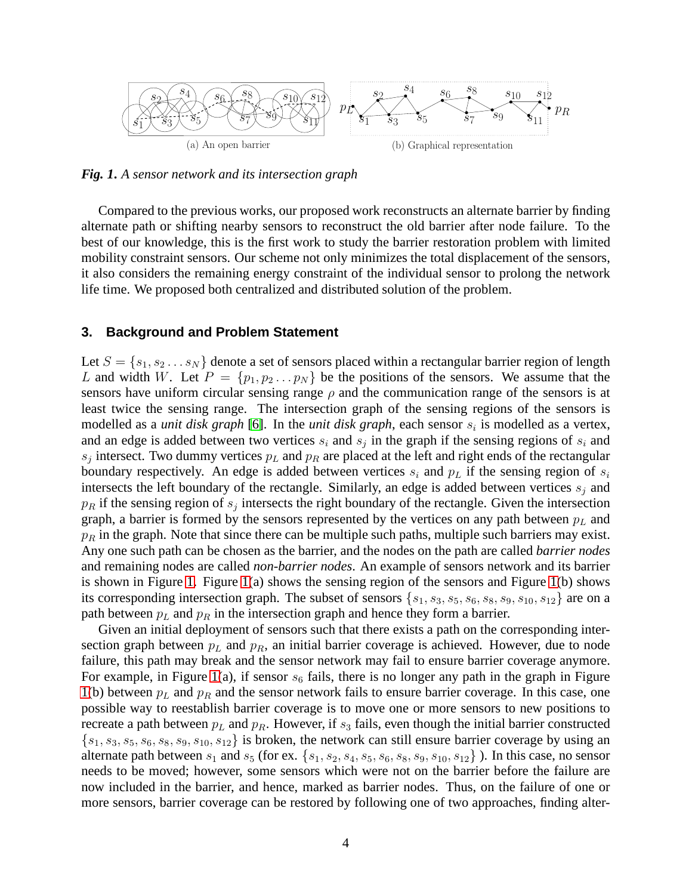

<span id="page-3-0"></span>*Fig. 1***.** *A sensor network and its intersection graph*

Compared to the previous works, our proposed work reconstructs an alternate barrier by finding alternate path or shifting nearby sensors to reconstruct the old barrier after node failure. To the best of our knowledge, this is the first work to study the barrier restoration problem with limited mobility constraint sensors. Our scheme not only minimizes the total displacement of the sensors, it also considers the remaining energy constraint of the individual sensor to prolong the network life time. We proposed both centralized and distributed solution of the problem.

### **3. Background and Problem Statement**

Let  $S = \{s_1, s_2 \dots s_N\}$  denote a set of sensors placed within a rectangular barrier region of length L and width W. Let  $P = \{p_1, p_2 \dots p_N\}$  be the positions of the sensors. We assume that the sensors have uniform circular sensing range  $\rho$  and the communication range of the sensors is at least twice the sensing range. The intersection graph of the sensing regions of the sensors is modelled as a *unit disk graph* [\[6\]](#page-18-12). In the *unit disk graph*, each sensor  $s_i$  is modelled as a vertex, and an edge is added between two vertices  $s_i$  and  $s_j$  in the graph if the sensing regions of  $s_i$  and  $s_j$  intersect. Two dummy vertices  $p_L$  and  $p_R$  are placed at the left and right ends of the rectangular boundary respectively. An edge is added between vertices  $s_i$  and  $p_l$  if the sensing region of  $s_i$ intersects the left boundary of the rectangle. Similarly, an edge is added between vertices  $s_i$  and  $p_R$  if the sensing region of  $s_j$  intersects the right boundary of the rectangle. Given the intersection graph, a barrier is formed by the sensors represented by the vertices on any path between  $p<sub>L</sub>$  and  $p_R$  in the graph. Note that since there can be multiple such paths, multiple such barriers may exist. Any one such path can be chosen as the barrier, and the nodes on the path are called *barrier nodes* and remaining nodes are called *non-barrier nodes*. An example of sensors network and its barrier is shown in Figure [1.](#page-3-0) Figure [1\(](#page-3-0)a) shows the sensing region of the sensors and Figure 1(b) shows its corresponding intersection graph. The subset of sensors  $\{s_1, s_3, s_5, s_6, s_8, s_9, s_{10}, s_{12}\}$  are on a path between  $p<sub>L</sub>$  and  $p<sub>R</sub>$  in the intersection graph and hence they form a barrier.

Given an initial deployment of sensors such that there exists a path on the corresponding intersection graph between  $p<sub>L</sub>$  and  $p<sub>R</sub>$ , an initial barrier coverage is achieved. However, due to node failure, this path may break and the sensor network may fail to ensure barrier coverage anymore. For example, in Figure [1\(](#page-3-0)a), if sensor  $s_6$  fails, there is no longer any path in the graph in Figure [1\(](#page-3-0)b) between  $p<sub>L</sub>$  and  $p<sub>R</sub>$  and the sensor network fails to ensure barrier coverage. In this case, one possible way to reestablish barrier coverage is to move one or more sensors to new positions to recreate a path between  $p<sub>L</sub>$  and  $p<sub>R</sub>$ . However, if  $s<sub>3</sub>$  fails, even though the initial barrier constructed  $\{s_1, s_3, s_5, s_6, s_8, s_9, s_{10}, s_{12}\}\$ is broken, the network can still ensure barrier coverage by using an alternate path between  $s_1$  and  $s_5$  (for ex.  $\{s_1, s_2, s_4, s_5, s_6, s_8, s_9, s_{10}, s_{12}\}$ ). In this case, no sensor needs to be moved; however, some sensors which were not on the barrier before the failure are now included in the barrier, and hence, marked as barrier nodes. Thus, on the failure of one or more sensors, barrier coverage can be restored by following one of two approaches, finding alter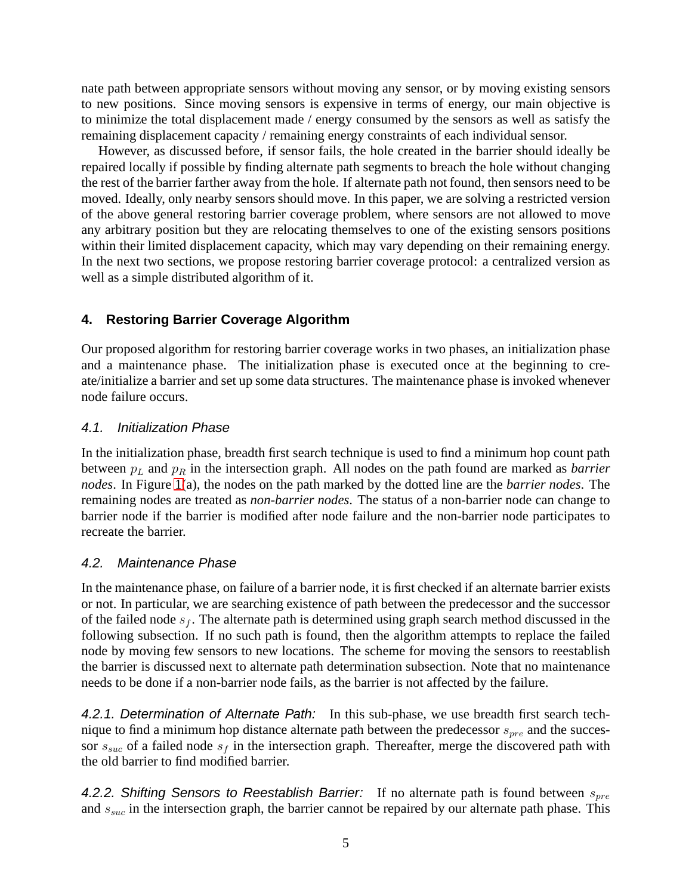nate path between appropriate sensors without moving any sensor, or by moving existing sensors to new positions. Since moving sensors is expensive in terms of energy, our main objective is to minimize the total displacement made / energy consumed by the sensors as well as satisfy the remaining displacement capacity / remaining energy constraints of each individual sensor.

However, as discussed before, if sensor fails, the hole created in the barrier should ideally be repaired locally if possible by finding alternate path segments to breach the hole without changing the rest of the barrier farther away from the hole. If alternate path not found, then sensors need to be moved. Ideally, only nearby sensors should move. In this paper, we are solving a restricted version of the above general restoring barrier coverage problem, where sensors are not allowed to move any arbitrary position but they are relocating themselves to one of the existing sensors positions within their limited displacement capacity, which may vary depending on their remaining energy. In the next two sections, we propose restoring barrier coverage protocol: a centralized version as well as a simple distributed algorithm of it.

# **4. Restoring Barrier Coverage Algorithm**

Our proposed algorithm for restoring barrier coverage works in two phases, an initialization phase and a maintenance phase. The initialization phase is executed once at the beginning to create/initialize a barrier and set up some data structures. The maintenance phase is invoked whenever node failure occurs.

## 4.1. Initialization Phase

In the initialization phase, breadth first search technique is used to find a minimum hop count path between  $p<sub>L</sub>$  and  $p<sub>R</sub>$  in the intersection graph. All nodes on the path found are marked as *barrier nodes*. In Figure [1\(](#page-3-0)a), the nodes on the path marked by the dotted line are the *barrier nodes*. The remaining nodes are treated as *non-barrier nodes*. The status of a non-barrier node can change to barrier node if the barrier is modified after node failure and the non-barrier node participates to recreate the barrier.

# 4.2. Maintenance Phase

In the maintenance phase, on failure of a barrier node, it is first checked if an alternate barrier exists or not. In particular, we are searching existence of path between the predecessor and the successor of the failed node  $s_f$ . The alternate path is determined using graph search method discussed in the following subsection. If no such path is found, then the algorithm attempts to replace the failed node by moving few sensors to new locations. The scheme for moving the sensors to reestablish the barrier is discussed next to alternate path determination subsection. Note that no maintenance needs to be done if a non-barrier node fails, as the barrier is not affected by the failure.

4.2.1. Determination of Alternate Path: In this sub-phase, we use breadth first search technique to find a minimum hop distance alternate path between the predecessor  $s_{pre}$  and the successor  $s_{suc}$  of a failed node  $s_f$  in the intersection graph. Thereafter, merge the discovered path with the old barrier to find modified barrier.

4.2.2. Shifting Sensors to Reestablish Barrier: If no alternate path is found between  $s_{pre}$ and  $s_{suc}$  in the intersection graph, the barrier cannot be repaired by our alternate path phase. This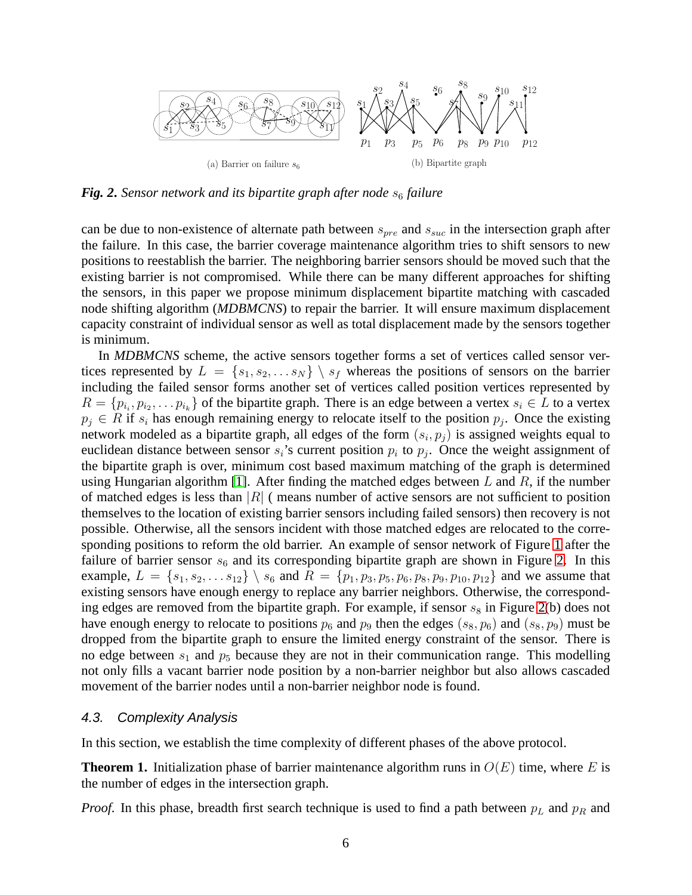

<span id="page-5-0"></span>*Fig. 2. Sensor network and its bipartite graph after node*  $s<sub>6</sub>$  *failure* 

can be due to non-existence of alternate path between  $s_{pre}$  and  $s_{suc}$  in the intersection graph after the failure. In this case, the barrier coverage maintenance algorithm tries to shift sensors to new positions to reestablish the barrier. The neighboring barrier sensors should be moved such that the existing barrier is not compromised. While there can be many different approaches for shifting the sensors, in this paper we propose minimum displacement bipartite matching with cascaded node shifting algorithm (*MDBMCNS*) to repair the barrier. It will ensure maximum displacement capacity constraint of individual sensor as well as total displacement made by the sensors together is minimum.

In *MDBMCNS* scheme, the active sensors together forms a set of vertices called sensor vertices represented by  $L = \{s_1, s_2, \ldots s_N\} \setminus s_f$  whereas the positions of sensors on the barrier including the failed sensor forms another set of vertices called position vertices represented by  $R = \{p_{i_1}, p_{i_2}, \dots p_{i_k}\}\$  of the bipartite graph. There is an edge between a vertex  $s_i \in L$  to a vertex  $p_j \in R$  if  $s_i$  has enough remaining energy to relocate itself to the position  $p_j$ . Once the existing network modeled as a bipartite graph, all edges of the form  $(s_i, p_j)$  is assigned weights equal to euclidean distance between sensor  $s_i$ 's current position  $p_i$  to  $p_j$ . Once the weight assignment of the bipartite graph is over, minimum cost based maximum matching of the graph is determined using Hungarian algorithm [\[1\]](#page-18-13). After finding the matched edges between L and R, if the number of matched edges is less than  $|R|$  (means number of active sensors are not sufficient to position themselves to the location of existing barrier sensors including failed sensors) then recovery is not possible. Otherwise, all the sensors incident with those matched edges are relocated to the corresponding positions to reform the old barrier. An example of sensor network of Figure [1](#page-3-0) after the failure of barrier sensor  $s_6$  and its corresponding bipartite graph are shown in Figure [2.](#page-5-0) In this example,  $L = \{s_1, s_2, \ldots s_{12}\} \setminus s_6$  and  $R = \{p_1, p_3, p_5, p_6, p_8, p_9, p_{10}, p_{12}\}\$  and we assume that existing sensors have enough energy to replace any barrier neighbors. Otherwise, the corresponding edges are removed from the bipartite graph. For example, if sensor  $s_8$  in Figure [2\(](#page-5-0)b) does not have enough energy to relocate to positions  $p_6$  and  $p_9$  then the edges  $(s_8, p_6)$  and  $(s_8, p_9)$  must be dropped from the bipartite graph to ensure the limited energy constraint of the sensor. There is no edge between  $s_1$  and  $p_5$  because they are not in their communication range. This modelling not only fills a vacant barrier node position by a non-barrier neighbor but also allows cascaded movement of the barrier nodes until a non-barrier neighbor node is found.

### 4.3. Complexity Analysis

In this section, we establish the time complexity of different phases of the above protocol.

**Theorem 1.** Initialization phase of barrier maintenance algorithm runs in  $O(E)$  time, where E is the number of edges in the intersection graph.

*Proof.* In this phase, breadth first search technique is used to find a path between  $p<sub>L</sub>$  and  $p<sub>R</sub>$  and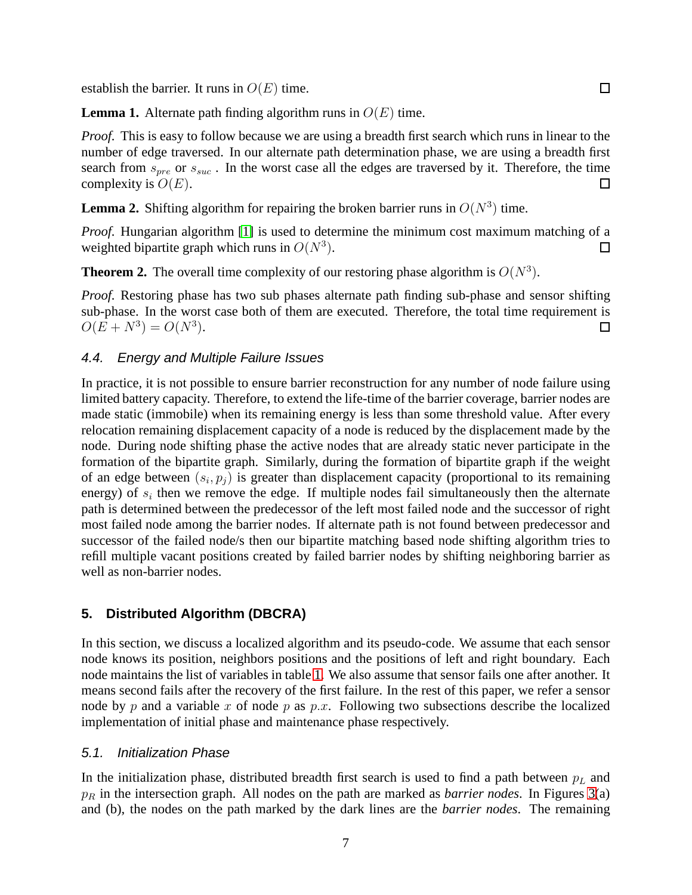establish the barrier. It runs in  $O(E)$  time.

**Lemma 1.** Alternate path finding algorithm runs in  $O(E)$  time.

*Proof.* This is easy to follow because we are using a breadth first search which runs in linear to the number of edge traversed. In our alternate path determination phase, we are using a breadth first search from  $s_{pre}$  or  $s_{suc}$ . In the worst case all the edges are traversed by it. Therefore, the time complexity is  $O(E)$ . П

**Lemma 2.** Shifting algorithm for repairing the broken barrier runs in  $O(N^3)$  time.

*Proof.* Hungarian algorithm [\[1\]](#page-18-13) is used to determine the minimum cost maximum matching of a weighted bipartite graph which runs in  $O(N^3)$ . □

**Theorem 2.** The overall time complexity of our restoring phase algorithm is  $O(N^3)$ .

*Proof.* Restoring phase has two sub phases alternate path finding sub-phase and sensor shifting sub-phase. In the worst case both of them are executed. Therefore, the total time requirement is  $O(E + N^3) = O(N^3).$ □

### 4.4. Energy and Multiple Failure Issues

In practice, it is not possible to ensure barrier reconstruction for any number of node failure using limited battery capacity. Therefore, to extend the life-time of the barrier coverage, barrier nodes are made static (immobile) when its remaining energy is less than some threshold value. After every relocation remaining displacement capacity of a node is reduced by the displacement made by the node. During node shifting phase the active nodes that are already static never participate in the formation of the bipartite graph. Similarly, during the formation of bipartite graph if the weight of an edge between  $(s_i, p_j)$  is greater than displacement capacity (proportional to its remaining energy) of  $s_i$  then we remove the edge. If multiple nodes fail simultaneously then the alternate path is determined between the predecessor of the left most failed node and the successor of right most failed node among the barrier nodes. If alternate path is not found between predecessor and successor of the failed node/s then our bipartite matching based node shifting algorithm tries to refill multiple vacant positions created by failed barrier nodes by shifting neighboring barrier as well as non-barrier nodes.

## **5. Distributed Algorithm (DBCRA)**

In this section, we discuss a localized algorithm and its pseudo-code. We assume that each sensor node knows its position, neighbors positions and the positions of left and right boundary. Each node maintains the list of variables in table [1.](#page-7-0) We also assume that sensor fails one after another. It means second fails after the recovery of the first failure. In the rest of this paper, we refer a sensor node by p and a variable x of node p as p.x. Following two subsections describe the localized implementation of initial phase and maintenance phase respectively.

### 5.1. Initialization Phase

In the initialization phase, distributed breadth first search is used to find a path between  $p<sub>L</sub>$  and  $p_R$  in the intersection graph. All nodes on the path are marked as *barrier nodes*. In Figures [3\(](#page-8-0)a) and (b), the nodes on the path marked by the dark lines are the *barrier nodes*. The remaining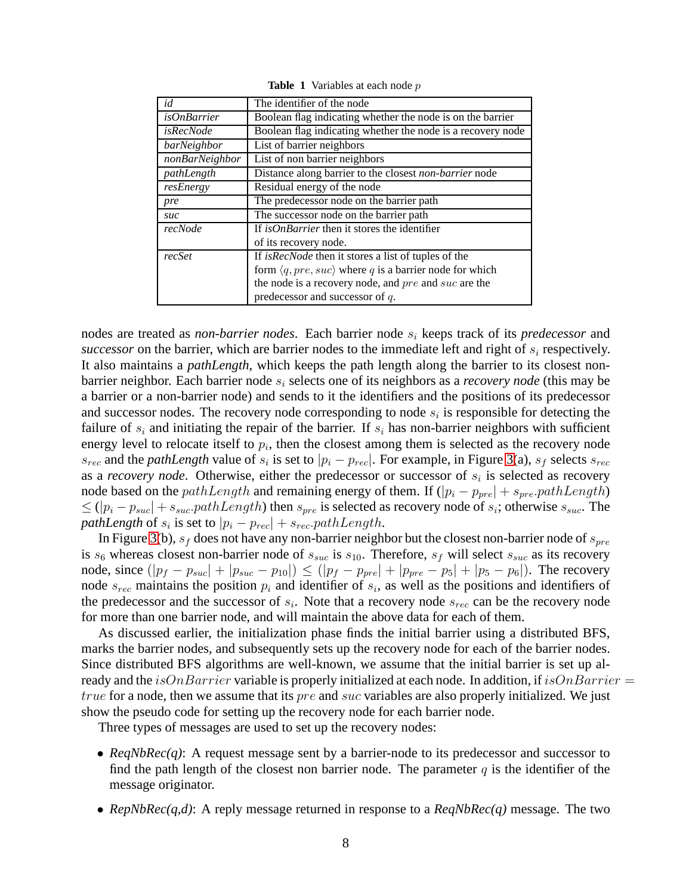| id                 | The identifier of the node                                             |  |  |
|--------------------|------------------------------------------------------------------------|--|--|
| <i>isOnBarrier</i> | Boolean flag indicating whether the node is on the barrier             |  |  |
| isRecNode          | Boolean flag indicating whether the node is a recovery node            |  |  |
| barNeighbor        | List of barrier neighbors                                              |  |  |
| nonBarNeighbor     | List of non barrier neighbors                                          |  |  |
| pathLength         | Distance along barrier to the closest non-barrier node                 |  |  |
| resEnergy          | Residual energy of the node                                            |  |  |
| pre                | The predecessor node on the barrier path                               |  |  |
| suc                | The successor node on the barrier path                                 |  |  |
| recNode            | If <i>isOnBarrier</i> then it stores the identifier                    |  |  |
|                    | of its recovery node.                                                  |  |  |
| recSet             | If <i>isRecNode</i> then it stores a list of tuples of the             |  |  |
|                    | form $\langle q, pre, suc \rangle$ where q is a barrier node for which |  |  |
|                    | the node is a recovery node, and pre and suc are the                   |  |  |
|                    | predecessor and successor of $q$ .                                     |  |  |

<span id="page-7-0"></span>**Table 1** Variables at each node p

nodes are treated as *non-barrier nodes*. Each barrier node s<sup>i</sup> keeps track of its *predecessor* and *successor* on the barrier, which are barrier nodes to the immediate left and right of  $s_i$  respectively. It also maintains a *pathLength*, which keeps the path length along the barrier to its closest nonbarrier neighbor. Each barrier node  $s_i$  selects one of its neighbors as a *recovery node* (this may be a barrier or a non-barrier node) and sends to it the identifiers and the positions of its predecessor and successor nodes. The recovery node corresponding to node  $s_i$  is responsible for detecting the failure of  $s_i$  and initiating the repair of the barrier. If  $s_i$  has non-barrier neighbors with sufficient energy level to relocate itself to  $p_i$ , then the closest among them is selected as the recovery node  $s_{rec}$  and the *pathLength* value of  $s_i$  is set to  $|p_i - p_{rec}|$ . For example, in Figure [3\(](#page-8-0)a),  $s_f$  selects  $s_{rec}$ as a *recovery node*. Otherwise, either the predecessor or successor of  $s_i$  is selected as recovery node based on the pathLength and remaining energy of them. If  $(|p_i - p_{pre}| + s_{pre}.pathLength)$  $\leq (|p_i - p_{suc}| + s_{suc}.pathLength)$  then  $s_{pre}$  is selected as recovery node of  $s_i$ ; otherwise  $s_{suc}$ . The *pathLength* of  $s_i$  is set to  $|p_i - p_{rec}| + s_{rec}.pathLength$ .

In Figure [3\(](#page-8-0)b),  $s_f$  does not have any non-barrier neighbor but the closest non-barrier node of  $s_{\text{nre}}$ is  $s_6$  whereas closest non-barrier node of  $s_{suc}$  is  $s_{10}$ . Therefore,  $s_f$  will select  $s_{suc}$  as its recovery node, since  $(|p_f - p_{suc}| + |p_{suc} - p_{10}|) \leq (|p_f - p_{pre}| + |p_{pre} - p_5| + |p_5 - p_6|)$ . The recovery node  $s_{rec}$  maintains the position  $p_i$  and identifier of  $s_i$ , as well as the positions and identifiers of the predecessor and the successor of  $s_i$ . Note that a recovery node  $s_{rec}$  can be the recovery node for more than one barrier node, and will maintain the above data for each of them.

As discussed earlier, the initialization phase finds the initial barrier using a distributed BFS, marks the barrier nodes, and subsequently sets up the recovery node for each of the barrier nodes. Since distributed BFS algorithms are well-known, we assume that the initial barrier is set up already and the *isOnBarrier* variable is properly initialized at each node. In addition, if *isOnBarrier* = true for a node, then we assume that its *pre* and *suc* variables are also properly initialized. We just show the pseudo code for setting up the recovery node for each barrier node.

Three types of messages are used to set up the recovery nodes:

- *ReqNbRec(q)*: A request message sent by a barrier-node to its predecessor and successor to find the path length of the closest non barrier node. The parameter  $q$  is the identifier of the message originator.
- *RepNbRec(q,d)*: A reply message returned in response to a *ReqNbRec(q)* message. The two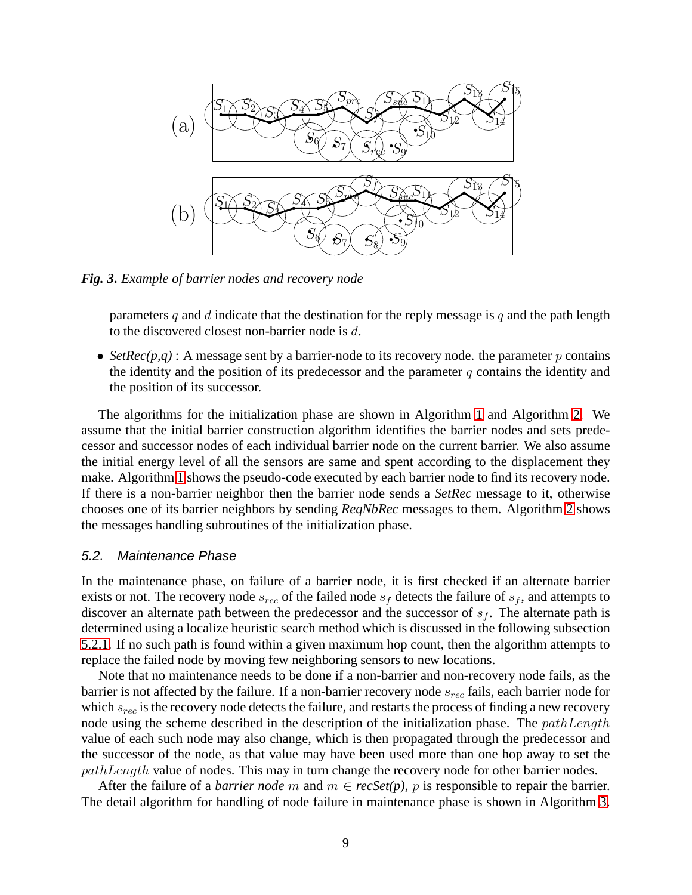

*Fig. 3***.** *Example of barrier nodes and recovery node*

<span id="page-8-0"></span>parameters q and d indicate that the destination for the reply message is q and the path length to the discovered closest non-barrier node is d.

• *SetRec(p,q)* : A message sent by a barrier-node to its recovery node. the parameter p contains the identity and the position of its predecessor and the parameter  $q$  contains the identity and the position of its successor.

The algorithms for the initialization phase are shown in Algorithm [1](#page-9-0) and Algorithm [2.](#page-10-0) We assume that the initial barrier construction algorithm identifies the barrier nodes and sets predecessor and successor nodes of each individual barrier node on the current barrier. We also assume the initial energy level of all the sensors are same and spent according to the displacement they make. Algorithm [1](#page-9-0) shows the pseudo-code executed by each barrier node to find its recovery node. If there is a non-barrier neighbor then the barrier node sends a *SetRec* message to it, otherwise chooses one of its barrier neighbors by sending *ReqNbRec* messages to them. Algorithm [2](#page-10-0) shows the messages handling subroutines of the initialization phase.

#### 5.2. Maintenance Phase

In the maintenance phase, on failure of a barrier node, it is first checked if an alternate barrier exists or not. The recovery node  $s_{rec}$  of the failed node  $s_f$  detects the failure of  $s_f$ , and attempts to discover an alternate path between the predecessor and the successor of  $s_f$ . The alternate path is determined using a localize heuristic search method which is discussed in the following subsection [5.2.1.](#page-9-1) If no such path is found within a given maximum hop count, then the algorithm attempts to replace the failed node by moving few neighboring sensors to new locations.

Note that no maintenance needs to be done if a non-barrier and non-recovery node fails, as the barrier is not affected by the failure. If a non-barrier recovery node  $s_{rec}$  fails, each barrier node for which  $s_{rec}$  is the recovery node detects the failure, and restarts the process of finding a new recovery node using the scheme described in the description of the initialization phase. The  $pathLength$ value of each such node may also change, which is then propagated through the predecessor and the successor of the node, as that value may have been used more than one hop away to set the pathLength value of nodes. This may in turn change the recovery node for other barrier nodes.

After the failure of a *barrier node* m and  $m \in \text{recSet}(p)$ , p is responsible to repair the barrier. The detail algorithm for handling of node failure in maintenance phase is shown in Algorithm [3.](#page-11-0)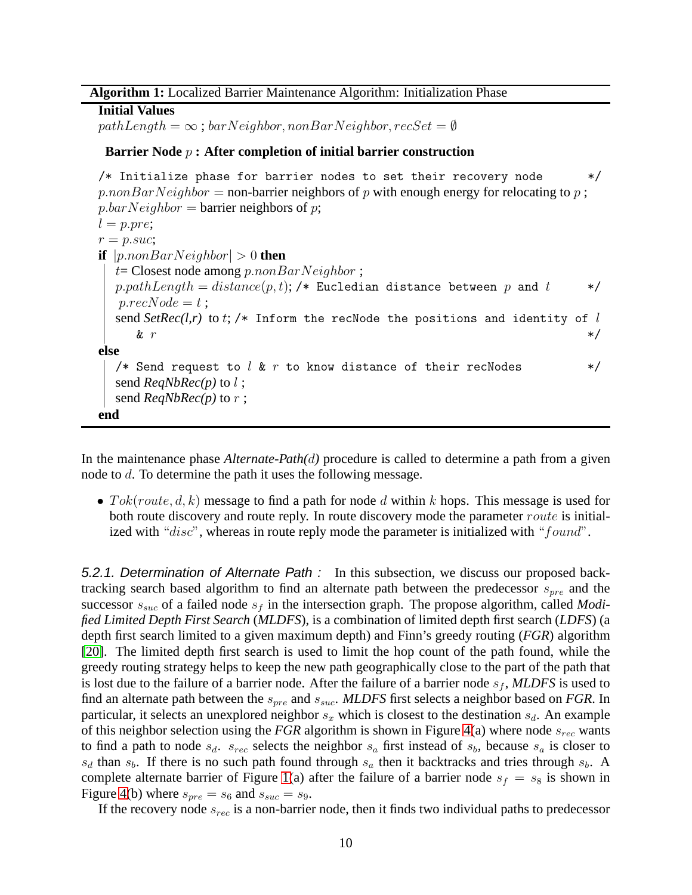#### **Algorithm 1:** Localized Barrier Maintenance Algorithm: Initialization Phase

**Initial Values**  $pathLength = \infty$ ; barNeighbor, nonBarNeighbor, recSet =  $\emptyset$ 

#### **Barrier Node** p **: After completion of initial barrier construction**

/\* Initialize phase for barrier nodes to set their recovery node  $*$  $p.nonBarNeighbour =$  non-barrier neighbors of p with enough energy for relocating to p;  $p.$ bar $Neighbour$  = barrier neighbors of p;  $l = p. pre;$  $r = p.suc;$ **if**  $|p{\text{.}}\text{non}BarNeighbour| > 0$  **then**  $t=$  Closest node among p.nonBarNeighbor;  $p.pathLength = distance(p, t);$  /\* Eucledian distance between p and t \*/  $p.readcode = t$ ; send  $SetRec(l,r)$  to  $t$ ; /\* Inform the recNode the positions and identity of  $l$ &  $r$  \*/ **else** /\* Send request to  $l \& r$  to know distance of their recNodes  $* /$ send *ReqNbRec(p)* to l ; send *ReqNbRec(p)* to r ; **end**

<span id="page-9-0"></span>In the maintenance phase *Alternate-Path(*d*)* procedure is called to determine a path from a given node to d. To determine the path it uses the following message.

• Tok(route, d, k) message to find a path for node d within k hops. This message is used for both route discovery and route reply. In route discovery mode the parameter route is initialized with " $disc$ ", whereas in route reply mode the parameter is initialized with " $found$ ".

<span id="page-9-1"></span>5.2.1. Determination of Alternate Path : In this subsection, we discuss our proposed backtracking search based algorithm to find an alternate path between the predecessor  $s_{pre}$  and the successor  $s_{suc}$  of a failed node  $s_f$  in the intersection graph. The propose algorithm, called *Modified Limited Depth First Search* (*MLDFS*), is a combination of limited depth first search (*LDFS*) (a depth first search limited to a given maximum depth) and Finn's greedy routing (*FGR*) algorithm [\[20\]](#page-19-4). The limited depth first search is used to limit the hop count of the path found, while the greedy routing strategy helps to keep the new path geographically close to the part of the path that is lost due to the failure of a barrier node. After the failure of a barrier node  $s_f$ , MLDFS is used to find an alternate path between the  $s_{pre}$  and  $s_{succ}$ . *MLDFS* first selects a neighbor based on *FGR*. In particular, it selects an unexplored neighbor  $s_x$  which is closest to the destination  $s_d$ . An example of this neighbor selection using the *FGR* algorithm is shown in Figure [4\(](#page-12-0)a) where node  $s_{rec}$  wants to find a path to node  $s_d$ .  $s_{rec}$  selects the neighbor  $s_a$  first instead of  $s_b$ , because  $s_a$  is closer to  $s_d$  than  $s_b$ . If there is no such path found through  $s_a$  then it backtracks and tries through  $s_b$ . A complete alternate barrier of Figure [1\(](#page-3-0)a) after the failure of a barrier node  $s_f = s_8$  is shown in Figure [4\(](#page-12-0)b) where  $s_{pre} = s_6$  and  $s_{suc} = s_9$ .

If the recovery node  $s_{rec}$  is a non-barrier node, then it finds two individual paths to predecessor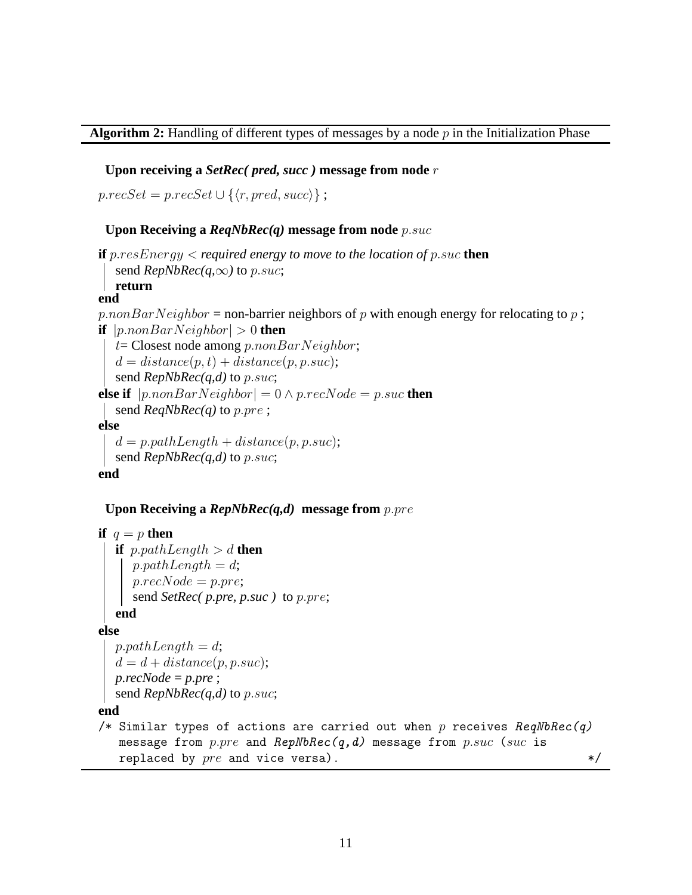### **Algorithm 2:** Handling of different types of messages by a node p in the Initialization Phase

### **Upon receiving a** *SetRec( pred, succ )* **message from node** r

 $p.read, succSet = p.read, succ$ ;

### **Upon Receiving a** *ReqNbRec(q)* **message from node** p.suc

```
if p.resEnergy < required energy to move to the location of p.suc then
  send RepNbRec(q,\infty) to p.suc;
return
end
p.nonBarNeighbour = non-barrier neighbors of p with enough energy for relocating to p;
if |p{\text{.}}\text{non}BarNeighbour| > 0 then
   t= Closest node among p.nonBarNeighbour;d = distance(p, t) + distance(p, p.suc);send RepNbRec(q,d) to p.suc;
else if |p.nonBarNeighbour| = 0 \land p.recNode = p.suc then
  send ReqNbRec(q) to p.pre ;
else
   d = p.pathLength + distance(p, p.suc);send RepNbRec(q,d) to p.suc;
end
```
### **Upon Receiving a** *RepNbRec(q,d)* **message from** p.pre

```
if q = p then
  if p.pathLength > d then
     p.pathLength = d;p. recNode = p. pre;send SetRec( p.pre, p.suc ) to p.pre;
  end
else
  p.pathLength = d;d = d + distance(p, p.suc);p.recNode = p.pre ;
  send RepNbRec(q,d) to p.suc;
end
/* Similar types of actions are carried out when p receives \textit{ReqNbRec}(q)message from p.pre and RepNbRec(q, d) message from p.suc (suc is
   replaced by pre and vice versa). */
```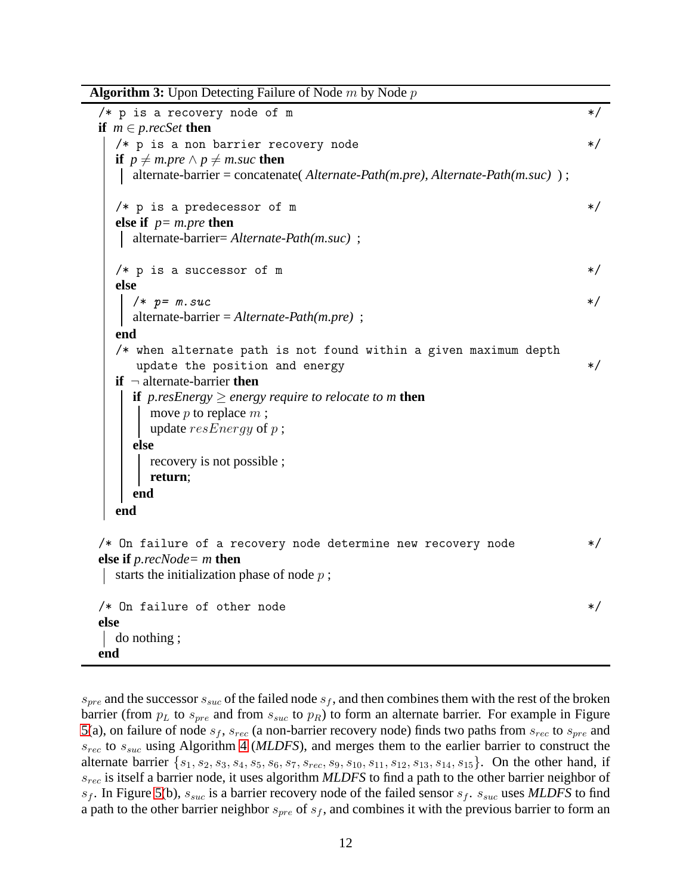**Algorithm 3:** Upon Detecting Failure of Node m by Node p  $/*$  p is a recovery node of m **if** *m* ∈ *p.recSet* **then** /\* p is a non barrier recovery node \*/ **if**  $p \neq m$ *.pre*  $\land$   $p \neq m$ *.suc* **then** alternate-barrier = concatenate( *Alternate-Path(m.pre), Alternate-Path(m.suc)* ) ;  $/*$  p is a predecessor of m  $*/$ **else if** *p= m.pre* **then** alternate-barrier= *Alternate-Path(m.suc)* ;  $/*$  p is a successor of m  $*$ / **else**  $\frac{1}{2}$   $\frac{1}{2}$   $\frac{1}{2}$   $\frac{1}{2}$   $\frac{1}{2}$   $\frac{1}{2}$   $\frac{1}{2}$   $\frac{1}{2}$   $\frac{1}{2}$   $\frac{1}{2}$   $\frac{1}{2}$   $\frac{1}{2}$   $\frac{1}{2}$   $\frac{1}{2}$   $\frac{1}{2}$   $\frac{1}{2}$   $\frac{1}{2}$   $\frac{1}{2}$   $\frac{1}{2}$   $\frac{1}{2}$   $\frac{1}{2}$   $\frac{1}{2}$  alternate-barrier = *Alternate-Path(m.pre)* ; **end** /\* when alternate path is not found within a given maximum depth update the position and energy  $*$ **if** ¬ alternate-barrier **then if** *p.resEnergy*  $\ge$  *energy require to relocate to m* **then** move  $p$  to replace  $m$ ; update  $resEnergy$  of  $p$ ; **else** recovery is not possible ; **return**; **end end** /\* On failure of a recovery node determine new recovery node \*/ **else if** *p.recNode= m* **then** starts the initialization phase of node  $p$ ;  $/*$  On failure of other node  $*/$ **else** do nothing ; **end**

<span id="page-11-0"></span> $s_{pre}$  and the successor  $s_{suc}$  of the failed node  $s_f$ , and then combines them with the rest of the broken barrier (from  $p_L$  to  $s_{pre}$  and from  $s_{suc}$  to  $p_R$ ) to form an alternate barrier. For example in Figure [5\(](#page-12-1)a), on failure of node  $s_f$ ,  $s_{rec}$  (a non-barrier recovery node) finds two paths from  $s_{rec}$  to  $s_{pre}$  and srec to ssuc using Algorithm [4](#page-13-0) (*MLDFS*), and merges them to the earlier barrier to construct the alternate barrier  $\{s_1, s_2, s_3, s_4, s_5, s_6, s_7, s_{rec}, s_9, s_{10}, s_{11}, s_{12}, s_{13}, s_{14}, s_{15}\}.$  On the other hand, if srec is itself a barrier node, it uses algorithm *MLDFS* to find a path to the other barrier neighbor of  $s_f$ . In Figure [5\(](#page-12-1)b),  $s_{suc}$  is a barrier recovery node of the failed sensor  $s_f$ .  $s_{suc}$  uses *MLDFS* to find a path to the other barrier neighbor  $s_{pre}$  of  $s_f$ , and combines it with the previous barrier to form an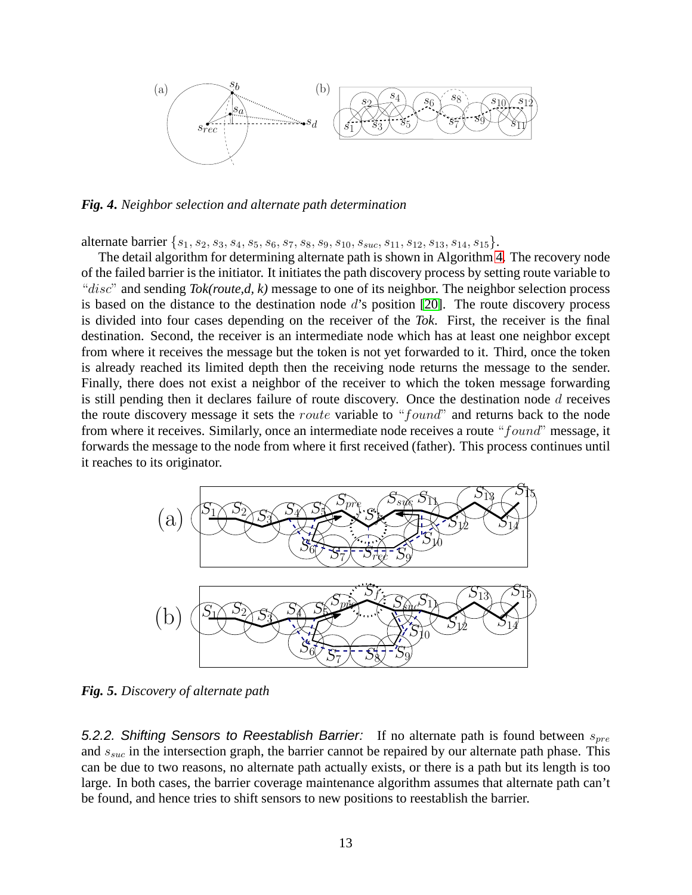

<span id="page-12-0"></span>*Fig. 4***.** *Neighbor selection and alternate path determination*

alternate barrier  $\{s_1, s_2, s_3, s_4, s_5, s_6, s_7, s_8, s_9, s_{10}, s_{suc}, s_{11}, s_{12}, s_{13}, s_{14}, s_{15}\}.$ 

The detail algorithm for determining alternate path is shown in Algorithm [4.](#page-13-0) The recovery node of the failed barrier is the initiator. It initiates the path discovery process by setting route variable to "disc" and sending *Tok(route,d, k)* message to one of its neighbor. The neighbor selection process is based on the distance to the destination node d's position [\[20\]](#page-19-4). The route discovery process is divided into four cases depending on the receiver of the *Tok*. First, the receiver is the final destination. Second, the receiver is an intermediate node which has at least one neighbor except from where it receives the message but the token is not yet forwarded to it. Third, once the token is already reached its limited depth then the receiving node returns the message to the sender. Finally, there does not exist a neighbor of the receiver to which the token message forwarding is still pending then it declares failure of route discovery. Once the destination node  $d$  receives the route discovery message it sets the *route* variable to "*found*" and returns back to the node from where it receives. Similarly, once an intermediate node receives a route "found" message, it forwards the message to the node from where it first received (father). This process continues until it reaches to its originator.



<span id="page-12-1"></span>*Fig. 5***.** *Discovery of alternate path*

5.2.2. Shifting Sensors to Reestablish Barrier: If no alternate path is found between  $s_{pre}$ and  $s_{suc}$  in the intersection graph, the barrier cannot be repaired by our alternate path phase. This can be due to two reasons, no alternate path actually exists, or there is a path but its length is too large. In both cases, the barrier coverage maintenance algorithm assumes that alternate path can't be found, and hence tries to shift sensors to new positions to reestablish the barrier.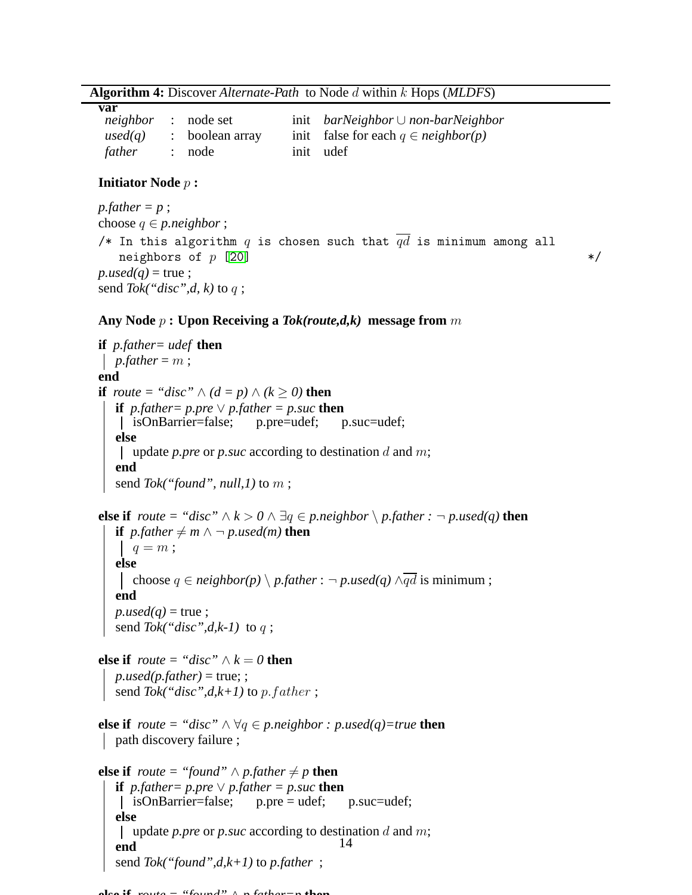**Algorithm 4:** Discover *Alternate-Path* to Node d within k Hops (*MLDFS*)

| var                        |                 |                                                |
|----------------------------|-----------------|------------------------------------------------|
| <i>neighbor</i> : node set |                 | init barNeighbor $\cup$ non-barNeighbor        |
| used(q)                    | : boolean array | init false for each $q \in \text{neighbor}(p)$ |
| father                     | : node          | init udef                                      |

#### **Initiator Node** p **:**

 $pfather = p$ ; choose  $q \in p$  *neighbor* ; /\* In this algorithm  $q$  is chosen such that  $qd$  is minimum among all neighbors of  $p$  [\[20\]](#page-19-4)  $*$ /  $p.used(q)$  = true; send *Tok("disc",d, k)* to q ;

#### **Any Node** p **: Upon Receiving a** *Tok(route,d,k)* **message from** m

```
if p.father= udef then
 p.father = m;
end
if route = "disc" \wedge (d = p) \wedge (k \ge 0) then
   if p, father = p, pre \lor p, father = p, suc then
    isOnBarrier=false; p.pre=udef; p.suc=udef;
   else
    update p.pre or p.suc according to destination d and m;
   end
   send Tok("found", null,1) to m ;
else if route = "disc" \land k > 0 \land ∃q ∈ p.neighbor \land p.father : \neg p.used(q) then
   if pfather \neq m \land \neg p.used(m) then
     q = m;else
      choose q \in \text{neighbor}(p) \setminus p\text{.father} : \neg p\text{.used}(q) \land \overline{qd} is minimum;
   end
   p.used(q) = true;
   send Tok("disc",d,k-1) to q ;
else if route = "disc" \wedge k = 0 then
   p. used(p, father) = true;;
   send Tok("disc",d, k+1) to p.father;
else if route = "disc" \land \forall q \in p.neighbor : p.used(q)=true then
 path discovery failure ;
else if route = "found" ∧ p.father \neq p then
   if p, father = p, pre \vee p, father = p, suc then
    | isOnBarrier=false;    p.pre = udef;    p.suc=udef;
   else
    update p.pre or p.suc according to destination d and m;
   end
   send Tok("found",d,k+1) to p.father ;
                                                14
```
<span id="page-13-0"></span>**else if** *route = "found"* ∧ *p.father=p* **then**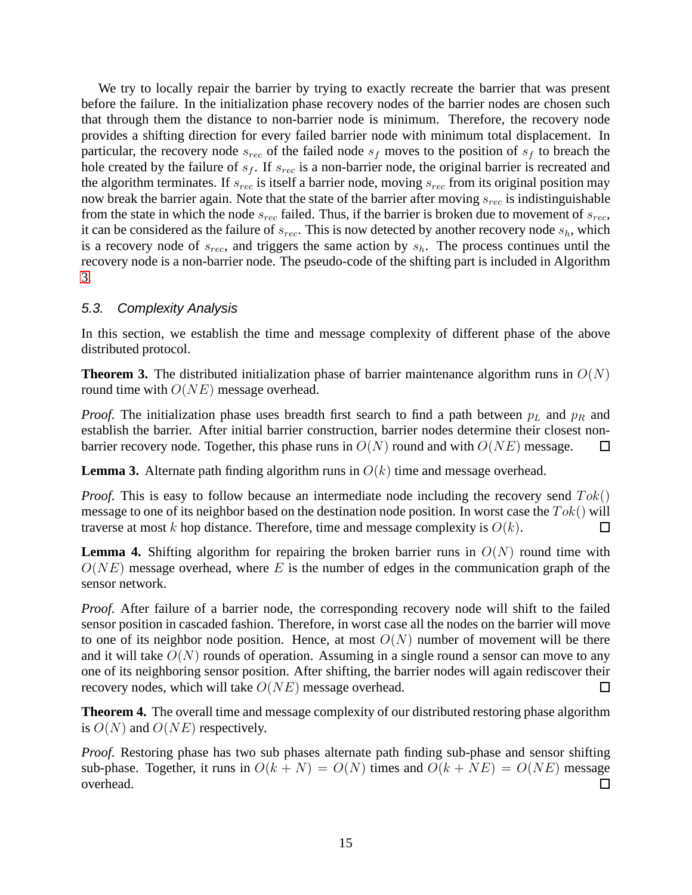We try to locally repair the barrier by trying to exactly recreate the barrier that was present before the failure. In the initialization phase recovery nodes of the barrier nodes are chosen such that through them the distance to non-barrier node is minimum. Therefore, the recovery node provides a shifting direction for every failed barrier node with minimum total displacement. In particular, the recovery node  $s_{rec}$  of the failed node  $s_f$  moves to the position of  $s_f$  to breach the hole created by the failure of  $s_f$ . If  $s_{rec}$  is a non-barrier node, the original barrier is recreated and the algorithm terminates. If  $s_{rec}$  is itself a barrier node, moving  $s_{rec}$  from its original position may now break the barrier again. Note that the state of the barrier after moving  $s_{rec}$  is indistinguishable from the state in which the node  $s_{rec}$  failed. Thus, if the barrier is broken due to movement of  $s_{rec}$ , it can be considered as the failure of  $s_{rec}$ . This is now detected by another recovery node  $s_h$ , which is a recovery node of  $s_{rec}$ , and triggers the same action by  $s_h$ . The process continues until the recovery node is a non-barrier node. The pseudo-code of the shifting part is included in Algorithm [3.](#page-11-0)

## 5.3. Complexity Analysis

In this section, we establish the time and message complexity of different phase of the above distributed protocol.

**Theorem 3.** The distributed initialization phase of barrier maintenance algorithm runs in  $O(N)$ round time with  $O(NE)$  message overhead.

*Proof.* The initialization phase uses breadth first search to find a path between  $p<sub>L</sub>$  and  $p<sub>R</sub>$  and establish the barrier. After initial barrier construction, barrier nodes determine their closest nonbarrier recovery node. Together, this phase runs in  $O(N)$  round and with  $O(NE)$  message.  $\Box$ 

**Lemma 3.** Alternate path finding algorithm runs in  $O(k)$  time and message overhead.

*Proof.* This is easy to follow because an intermediate node including the recovery send  $Tok()$ message to one of its neighbor based on the destination node position. In worst case the  $Tok()$  will traverse at most k hop distance. Therefore, time and message complexity is  $O(k)$ .  $\Box$ 

**Lemma 4.** Shifting algorithm for repairing the broken barrier runs in  $O(N)$  round time with  $O(NE)$  message overhead, where E is the number of edges in the communication graph of the sensor network.

*Proof.* After failure of a barrier node, the corresponding recovery node will shift to the failed sensor position in cascaded fashion. Therefore, in worst case all the nodes on the barrier will move to one of its neighbor node position. Hence, at most  $O(N)$  number of movement will be there and it will take  $O(N)$  rounds of operation. Assuming in a single round a sensor can move to any one of its neighboring sensor position. After shifting, the barrier nodes will again rediscover their recovery nodes, which will take  $O(NE)$  message overhead. □

**Theorem 4.** The overall time and message complexity of our distributed restoring phase algorithm is  $O(N)$  and  $O(NE)$  respectively.

*Proof.* Restoring phase has two sub phases alternate path finding sub-phase and sensor shifting sub-phase. Together, it runs in  $O(k + N) = O(N)$  times and  $O(k + NE) = O(NE)$  message overhead.  $\Box$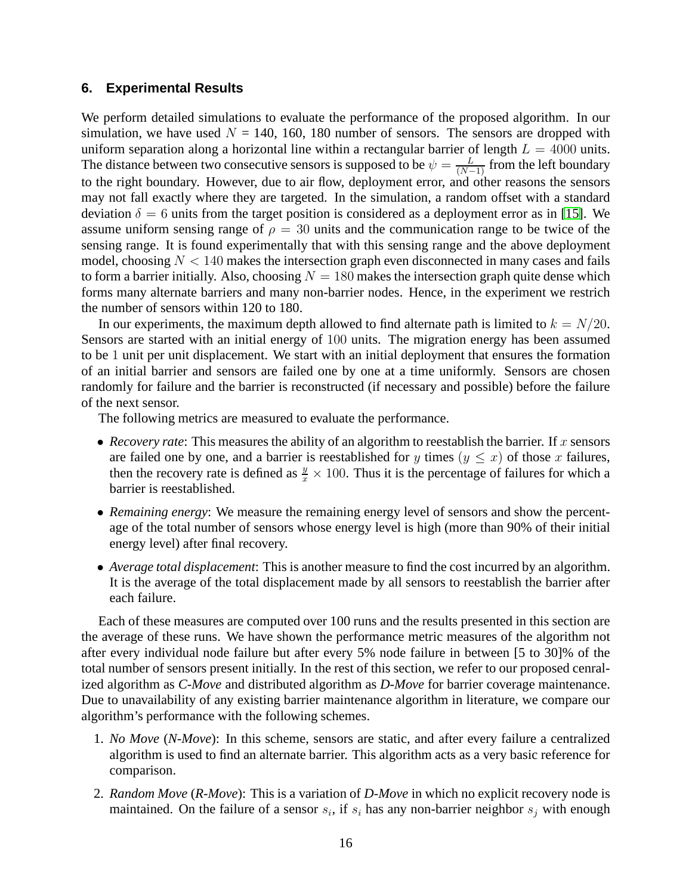#### **6. Experimental Results**

We perform detailed simulations to evaluate the performance of the proposed algorithm. In our simulation, we have used  $N = 140, 160, 180$  number of sensors. The sensors are dropped with uniform separation along a horizontal line within a rectangular barrier of length  $L = 4000$  units. The distance between two consecutive sensors is supposed to be  $\psi = \frac{L}{(N-1)}$  from the left boundary to the right boundary. However, due to air flow, deployment error, and other reasons the sensors may not fall exactly where they are targeted. In the simulation, a random offset with a standard deviation  $\delta = 6$  units from the target position is considered as a deployment error as in [\[15\]](#page-19-5). We assume uniform sensing range of  $\rho = 30$  units and the communication range to be twice of the sensing range. It is found experimentally that with this sensing range and the above deployment model, choosing  $N < 140$  makes the intersection graph even disconnected in many cases and fails to form a barrier initially. Also, choosing  $N = 180$  makes the intersection graph quite dense which forms many alternate barriers and many non-barrier nodes. Hence, in the experiment we restrich the number of sensors within 120 to 180.

In our experiments, the maximum depth allowed to find alternate path is limited to  $k = N/20$ . Sensors are started with an initial energy of 100 units. The migration energy has been assumed to be 1 unit per unit displacement. We start with an initial deployment that ensures the formation of an initial barrier and sensors are failed one by one at a time uniformly. Sensors are chosen randomly for failure and the barrier is reconstructed (if necessary and possible) before the failure of the next sensor.

The following metrics are measured to evaluate the performance.

- *Recovery rate*: This measures the ability of an algorithm to reestablish the barrier. If x sensors are failed one by one, and a barrier is reestablished for y times ( $y \leq x$ ) of those x failures, then the recovery rate is defined as  $\frac{y}{x} \times 100$ . Thus it is the percentage of failures for which a barrier is reestablished.
- *Remaining energy*: We measure the remaining energy level of sensors and show the percentage of the total number of sensors whose energy level is high (more than 90% of their initial energy level) after final recovery.
- *Average total displacement*: This is another measure to find the cost incurred by an algorithm. It is the average of the total displacement made by all sensors to reestablish the barrier after each failure.

Each of these measures are computed over 100 runs and the results presented in this section are the average of these runs. We have shown the performance metric measures of the algorithm not after every individual node failure but after every 5% node failure in between [5 to 30]% of the total number of sensors present initially. In the rest of this section, we refer to our proposed cenralized algorithm as *C-Move* and distributed algorithm as *D-Move* for barrier coverage maintenance. Due to unavailability of any existing barrier maintenance algorithm in literature, we compare our algorithm's performance with the following schemes.

- 1. *No Move* (*N-Move*): In this scheme, sensors are static, and after every failure a centralized algorithm is used to find an alternate barrier. This algorithm acts as a very basic reference for comparison.
- 2. *Random Move* (*R-Move*): This is a variation of *D-Move* in which no explicit recovery node is maintained. On the failure of a sensor  $s_i$ , if  $s_i$  has any non-barrier neighbor  $s_j$  with enough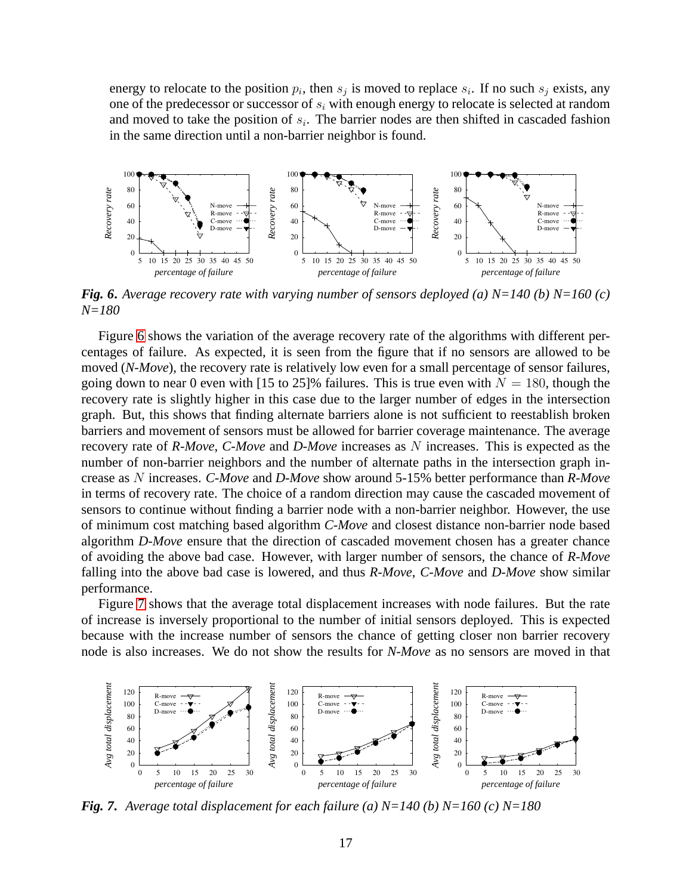energy to relocate to the position  $p_i$ , then  $s_j$  is moved to replace  $s_i$ . If no such  $s_j$  exists, any one of the predecessor or successor of  $s_i$  with enough energy to relocate is selected at random and moved to take the position of  $s_i$ . The barrier nodes are then shifted in cascaded fashion in the same direction until a non-barrier neighbor is found.



<span id="page-16-0"></span>*Fig. 6***.** *Average recovery rate with varying number of sensors deployed (a) N=140 (b) N=160 (c) N=180*

Figure [6](#page-16-0) shows the variation of the average recovery rate of the algorithms with different percentages of failure. As expected, it is seen from the figure that if no sensors are allowed to be moved (*N-Move*), the recovery rate is relatively low even for a small percentage of sensor failures, going down to near 0 even with [15 to 25]% failures. This is true even with  $N = 180$ , though the recovery rate is slightly higher in this case due to the larger number of edges in the intersection graph. But, this shows that finding alternate barriers alone is not sufficient to reestablish broken barriers and movement of sensors must be allowed for barrier coverage maintenance. The average recovery rate of *R-Move*, *C-Move* and *D-Move* increases as N increases. This is expected as the number of non-barrier neighbors and the number of alternate paths in the intersection graph increase as N increases. *C-Move* and *D-Move* show around 5-15% better performance than *R-Move* in terms of recovery rate. The choice of a random direction may cause the cascaded movement of sensors to continue without finding a barrier node with a non-barrier neighbor. However, the use of minimum cost matching based algorithm *C-Move* and closest distance non-barrier node based algorithm *D-Move* ensure that the direction of cascaded movement chosen has a greater chance of avoiding the above bad case. However, with larger number of sensors, the chance of *R-Move* falling into the above bad case is lowered, and thus *R-Move*, *C-Move* and *D-Move* show similar performance.

Figure [7](#page-16-1) shows that the average total displacement increases with node failures. But the rate of increase is inversely proportional to the number of initial sensors deployed. This is expected because with the increase number of sensors the chance of getting closer non barrier recovery node is also increases. We do not show the results for *N-Move* as no sensors are moved in that



<span id="page-16-1"></span>*Fig. 7***.** *Average total displacement for each failure (a) N=140 (b) N=160 (c) N=180*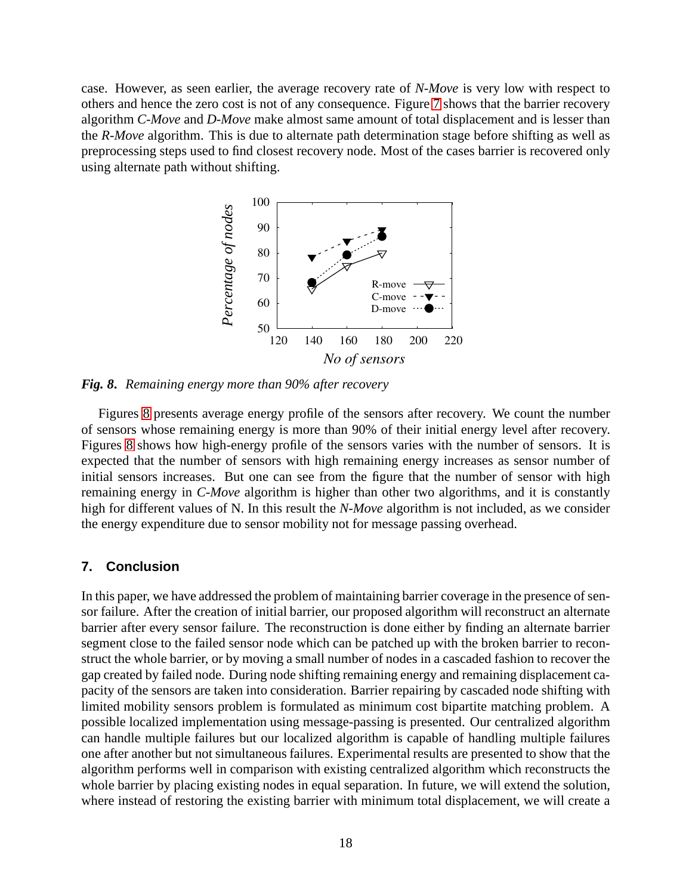case. However, as seen earlier, the average recovery rate of *N-Move* is very low with respect to others and hence the zero cost is not of any consequence. Figure [7](#page-16-1) shows that the barrier recovery algorithm *C-Move* and *D-Move* make almost same amount of total displacement and is lesser than the *R-Move* algorithm. This is due to alternate path determination stage before shifting as well as preprocessing steps used to find closest recovery node. Most of the cases barrier is recovered only using alternate path without shifting.



<span id="page-17-0"></span>*Fig. 8***.** *Remaining energy more than 90% after recovery*

Figures [8](#page-17-0) presents average energy profile of the sensors after recovery. We count the number of sensors whose remaining energy is more than 90% of their initial energy level after recovery. Figures [8](#page-17-0) shows how high-energy profile of the sensors varies with the number of sensors. It is expected that the number of sensors with high remaining energy increases as sensor number of initial sensors increases. But one can see from the figure that the number of sensor with high remaining energy in *C-Move* algorithm is higher than other two algorithms, and it is constantly high for different values of N. In this result the *N-Move* algorithm is not included, as we consider the energy expenditure due to sensor mobility not for message passing overhead.

### **7. Conclusion**

In this paper, we have addressed the problem of maintaining barrier coverage in the presence of sensor failure. After the creation of initial barrier, our proposed algorithm will reconstruct an alternate barrier after every sensor failure. The reconstruction is done either by finding an alternate barrier segment close to the failed sensor node which can be patched up with the broken barrier to reconstruct the whole barrier, or by moving a small number of nodes in a cascaded fashion to recover the gap created by failed node. During node shifting remaining energy and remaining displacement capacity of the sensors are taken into consideration. Barrier repairing by cascaded node shifting with limited mobility sensors problem is formulated as minimum cost bipartite matching problem. A possible localized implementation using message-passing is presented. Our centralized algorithm can handle multiple failures but our localized algorithm is capable of handling multiple failures one after another but not simultaneous failures. Experimental results are presented to show that the algorithm performs well in comparison with existing centralized algorithm which reconstructs the whole barrier by placing existing nodes in equal separation. In future, we will extend the solution, where instead of restoring the existing barrier with minimum total displacement, we will create a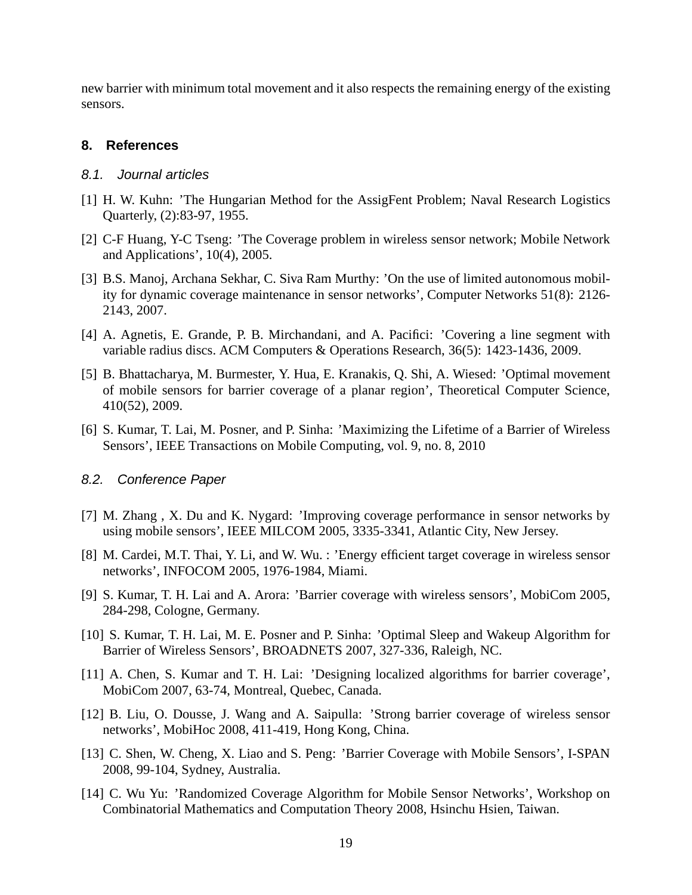new barrier with minimum total movement and it also respects the remaining energy of the existing sensors.

#### **8. References**

### <span id="page-18-13"></span>8.1. Journal articles

- <span id="page-18-2"></span>[1] H. W. Kuhn: 'The Hungarian Method for the AssigFent Problem; Naval Research Logistics Quarterly, (2):83-97, 1955.
- [2] C-F Huang, Y-C Tseng: 'The Coverage problem in wireless sensor network; Mobile Network and Applications', 10(4), 2005.
- <span id="page-18-6"></span>[3] B.S. Manoj, Archana Sekhar, C. Siva Ram Murthy: 'On the use of limited autonomous mobility for dynamic coverage maintenance in sensor networks', Computer Networks 51(8): 2126- 2143, 2007.
- <span id="page-18-1"></span>[4] A. Agnetis, E. Grande, P. B. Mirchandani, and A. Pacifici: 'Covering a line segment with variable radius discs. ACM Computers & Operations Research, 36(5): 1423-1436, 2009.
- <span id="page-18-11"></span>[5] B. Bhattacharya, M. Burmester, Y. Hua, E. Kranakis, Q. Shi, A. Wiesed: 'Optimal movement of mobile sensors for barrier coverage of a planar region', Theoretical Computer Science, 410(52), 2009.
- <span id="page-18-12"></span>[6] S. Kumar, T. Lai, M. Posner, and P. Sinha: 'Maximizing the Lifetime of a Barrier of Wireless Sensors', IEEE Transactions on Mobile Computing, vol. 9, no. 8, 2010

#### <span id="page-18-5"></span>8.2. Conference Paper

- [7] M. Zhang , X. Du and K. Nygard: 'Improving coverage performance in sensor networks by using mobile sensors', IEEE MILCOM 2005, 3335-3341, Atlantic City, New Jersey.
- <span id="page-18-0"></span>[8] M. Cardei, M.T. Thai, Y. Li, and W. Wu. : 'Energy efficient target coverage in wireless sensor networks', INFOCOM 2005, 1976-1984, Miami.
- <span id="page-18-3"></span>[9] S. Kumar, T. H. Lai and A. Arora: 'Barrier coverage with wireless sensors', MobiCom 2005, 284-298, Cologne, Germany.
- <span id="page-18-7"></span>[10] S. Kumar, T. H. Lai, M. E. Posner and P. Sinha: 'Optimal Sleep and Wakeup Algorithm for Barrier of Wireless Sensors', BROADNETS 2007, 327-336, Raleigh, NC.
- <span id="page-18-9"></span><span id="page-18-8"></span>[11] A. Chen, S. Kumar and T. H. Lai: 'Designing localized algorithms for barrier coverage', MobiCom 2007, 63-74, Montreal, Quebec, Canada.
- [12] B. Liu, O. Dousse, J. Wang and A. Saipulla: 'Strong barrier coverage of wireless sensor networks', MobiHoc 2008, 411-419, Hong Kong, China.
- <span id="page-18-10"></span>[13] C. Shen, W. Cheng, X. Liao and S. Peng: 'Barrier Coverage with Mobile Sensors', I-SPAN 2008, 99-104, Sydney, Australia.
- <span id="page-18-4"></span>[14] C. Wu Yu: 'Randomized Coverage Algorithm for Mobile Sensor Networks', Workshop on Combinatorial Mathematics and Computation Theory 2008, Hsinchu Hsien, Taiwan.